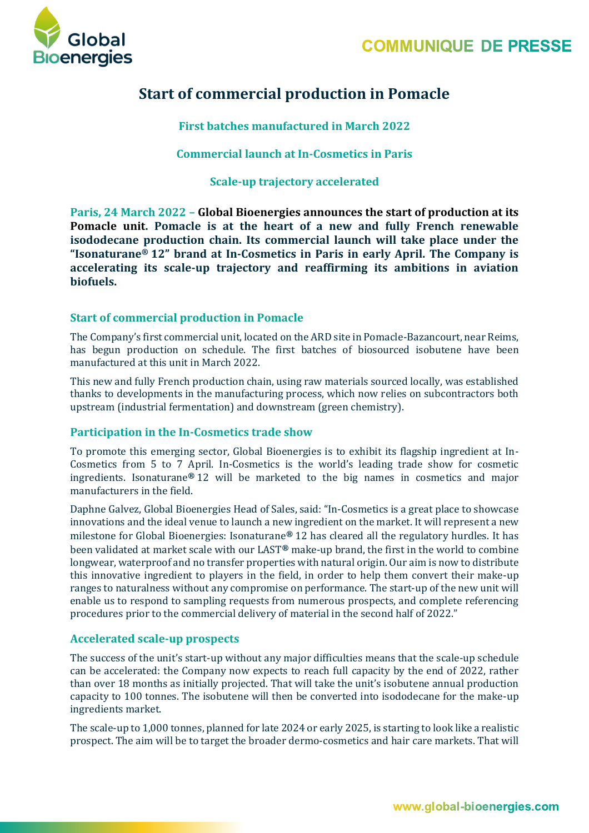

# **Start of commercial production in Pomacle**

**First batches manufactured in March 2022**

**Commercial launch at In-Cosmetics in Paris**

**Scale-up trajectory accelerated**

**Paris, 24 March 2022 – Global Bioenergies announces the start of production at its Pomacle unit. Pomacle is at the heart of a new and fully French renewable isododecane production chain. Its commercial launch will take place under the "Isonaturane® 12" brand at In-Cosmetics in Paris in early April. The Company is accelerating its scale-up trajectory and reaffirming its ambitions in aviation biofuels.**

# **Start of commercial production in Pomacle**

The Company's first commercial unit, located on the ARD site in Pomacle-Bazancourt, near Reims, has begun production on schedule. The first batches of biosourced isobutene have been manufactured at this unit in March 2022.

This new and fully French production chain, using raw materials sourced locally, was established thanks to developments in the manufacturing process, which now relies on subcontractors both upstream (industrial fermentation) and downstream (green chemistry).

## **Participation in the In-Cosmetics trade show**

To promote this emerging sector, Global Bioenergies is to exhibit its flagship ingredient at In-Cosmetics from 5 to 7 April. In-Cosmetics is the world's leading trade show for cosmetic ingredients. Isonaturane**®** 12 will be marketed to the big names in cosmetics and major manufacturers in the field.

Daphne Galvez, Global Bioenergies Head of Sales, said: "In-Cosmetics is a great place to showcase innovations and the ideal venue to launch a new ingredient on the market. It will represent a new milestone for Global Bioenergies: Isonaturane**®** 12 has cleared all the regulatory hurdles. It has been validated at market scale with our LAST**®** make-up brand, the first in the world to combine longwear, waterproof and no transfer properties with natural origin. Our aim is now to distribute this innovative ingredient to players in the field, in order to help them convert their make-up ranges to naturalness without any compromise on performance. The start-up of the new unit will enable us to respond to sampling requests from numerous prospects, and complete referencing procedures prior to the commercial delivery of material in the second half of 2022."

## **Accelerated scale-up prospects**

The success of the unit's start-up without any major difficulties means that the scale-up schedule can be accelerated: the Company now expects to reach full capacity by the end of 2022, rather than over 18 months as initially projected. That will take the unit's isobutene annual production capacity to 100 tonnes. The isobutene will then be converted into isododecane for the make-up ingredients market.

The scale-up to 1,000 tonnes, planned for late 2024 or early 2025, is starting to look like a realistic prospect. The aim will be to target the broader dermo-cosmetics and hair care markets. That will